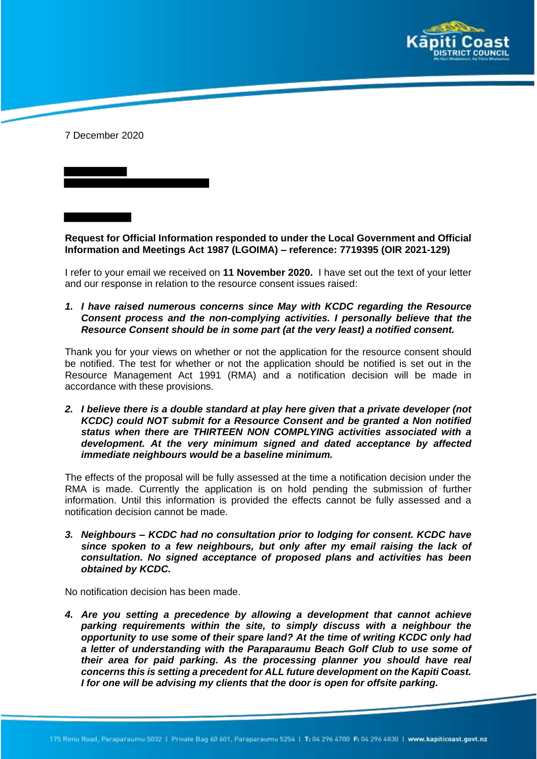

7 December 2020

**Request for Official Information responded to under the Local Government and Official Information and Meetings Act 1987 (LGOIMA) – reference: 7719395 (OIR 2021-129)**

I refer to your email we received on **11 November 2020.** I have set out the text of your letter and our response in relation to the resource consent issues raised:

*1. I have raised numerous concerns since May with KCDC regarding the Resource Consent process and the non-complying activities. I personally believe that the Resource Consent should be in some part (at the very least) a notified consent.*

Thank you for your views on whether or not the application for the resource consent should be notified. The test for whether or not the application should be notified is set out in the Resource Management Act 1991 (RMA) and a notification decision will be made in accordance with these provisions.

*2. I believe there is a double standard at play here given that a private developer (not KCDC) could NOT submit for a Resource Consent and be granted a Non notified status when there are THIRTEEN NON COMPLYING activities associated with a development. At the very minimum signed and dated acceptance by affected immediate neighbours would be a baseline minimum.*

The effects of the proposal will be fully assessed at the time a notification decision under the RMA is made. Currently the application is on hold pending the submission of further information. Until this information is provided the effects cannot be fully assessed and a notification decision cannot be made.

*3. Neighbours – KCDC had no consultation prior to lodging for consent. KCDC have since spoken to a few neighbours, but only after my email raising the lack of consultation. No signed acceptance of proposed plans and activities has been obtained by KCDC.*

No notification decision has been made.

*4. Are you setting a precedence by allowing a development that cannot achieve parking requirements within the site, to simply discuss with a neighbour the opportunity to use some of their spare land? At the time of writing KCDC only had a letter of understanding with the Paraparaumu Beach Golf Club to use some of their area for paid parking. As the processing planner you should have real concerns this is setting a precedent for ALL future development on the Kapiti Coast. I for one will be advising my clients that the door is open for offsite parking.*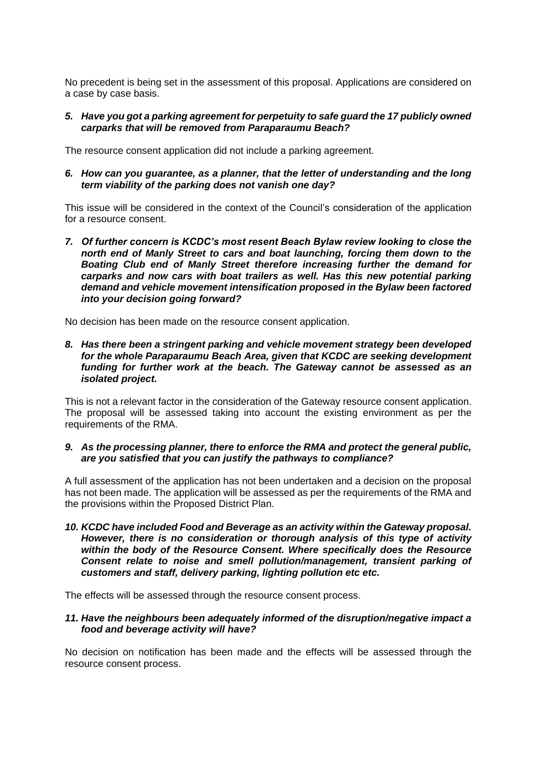No precedent is being set in the assessment of this proposal. Applications are considered on a case by case basis.

## *5. Have you got a parking agreement for perpetuity to safe guard the 17 publicly owned carparks that will be removed from Paraparaumu Beach?*

The resource consent application did not include a parking agreement.

*6. How can you guarantee, as a planner, that the letter of understanding and the long term viability of the parking does not vanish one day?* 

This issue will be considered in the context of the Council's consideration of the application for a resource consent.

*7. Of further concern is KCDC's most resent Beach Bylaw review looking to close the north end of Manly Street to cars and boat launching, forcing them down to the Boating Club end of Manly Street therefore increasing further the demand for carparks and now cars with boat trailers as well. Has this new potential parking demand and vehicle movement intensification proposed in the Bylaw been factored into your decision going forward?* 

No decision has been made on the resource consent application.

*8. Has there been a stringent parking and vehicle movement strategy been developed for the whole Paraparaumu Beach Area, given that KCDC are seeking development funding for further work at the beach. The Gateway cannot be assessed as an isolated project.*

This is not a relevant factor in the consideration of the Gateway resource consent application. The proposal will be assessed taking into account the existing environment as per the requirements of the RMA.

#### *9. As the processing planner, there to enforce the RMA and protect the general public, are you satisfied that you can justify the pathways to compliance?*

A full assessment of the application has not been undertaken and a decision on the proposal has not been made. The application will be assessed as per the requirements of the RMA and the provisions within the Proposed District Plan.

*10. KCDC have included Food and Beverage as an activity within the Gateway proposal. However, there is no consideration or thorough analysis of this type of activity within the body of the Resource Consent. Where specifically does the Resource Consent relate to noise and smell pollution/management, transient parking of customers and staff, delivery parking, lighting pollution etc etc.* 

The effects will be assessed through the resource consent process.

## *11. Have the neighbours been adequately informed of the disruption/negative impact a food and beverage activity will have?*

No decision on notification has been made and the effects will be assessed through the resource consent process.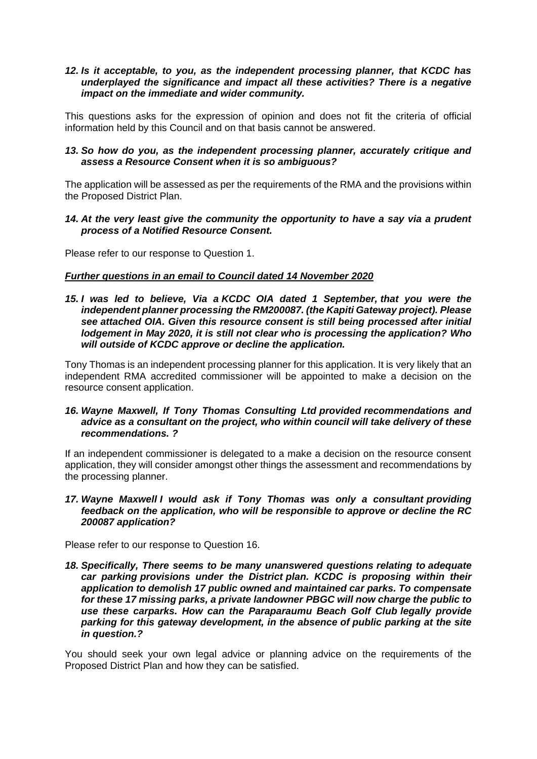## *12. Is it acceptable, to you, as the independent processing planner, that KCDC has underplayed the significance and impact all these activities? There is a negative impact on the immediate and wider community.*

This questions asks for the expression of opinion and does not fit the criteria of official information held by this Council and on that basis cannot be answered.

## 13. So how do you, as the independent processing planner, accurately critique and *assess a Resource Consent when it is so ambiguous?*

The application will be assessed as per the requirements of the RMA and the provisions within the Proposed District Plan.

## *14. At the very least give the community the opportunity to have a say via a prudent process of a Notified Resource Consent.*

Please refer to our response to Question 1.

# *Further questions in an email to Council dated 14 November 2020*

*15. I was led to believe, Via a KCDC OIA dated 1 September, that you were the independent planner processing the RM200087. (the Kapiti Gateway project). Please see attached OIA. Given this resource consent is still being processed after initial lodgement in May 2020, it is still not clear who is processing the application? Who will outside of KCDC approve or decline the application.*

Tony Thomas is an independent processing planner for this application. It is very likely that an independent RMA accredited commissioner will be appointed to make a decision on the resource consent application.

## *16. Wayne Maxwell, If Tony Thomas Consulting Ltd provided recommendations and advice as a consultant on the project, who within council will take delivery of these recommendations. ?*

If an independent commissioner is delegated to a make a decision on the resource consent application, they will consider amongst other things the assessment and recommendations by the processing planner.

## *17. Wayne Maxwell I would ask if Tony Thomas was only a consultant providing feedback on the application, who will be responsible to approve or decline the RC 200087 application?*

Please refer to our response to Question 16.

*18. Specifically, There seems to be many unanswered questions relating to adequate car parking provisions under the District plan. KCDC is proposing within their application to demolish 17 public owned and maintained car parks. To compensate for these 17 missing parks, a private landowner PBGC will now charge the public to use these carparks. How can the Paraparaumu Beach Golf Club legally provide parking for this gateway development, in the absence of public parking at the site in question.?* 

You should seek your own legal advice or planning advice on the requirements of the Proposed District Plan and how they can be satisfied.